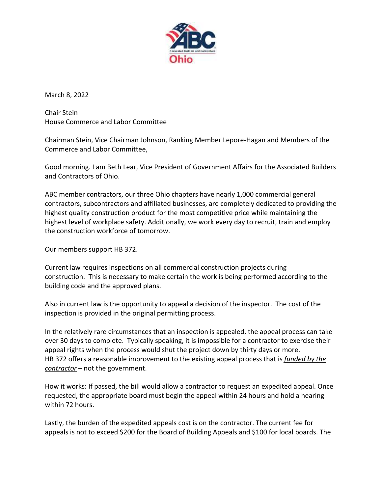

March 8, 2022

Chair Stein House Commerce and Labor Committee

Chairman Stein, Vice Chairman Johnson, Ranking Member Lepore-Hagan and Members of the Commerce and Labor Committee,

Good morning. I am Beth Lear, Vice President of Government Affairs for the Associated Builders and Contractors of Ohio.

ABC member contractors, our three Ohio chapters have nearly 1,000 commercial general contractors, subcontractors and affiliated businesses, are completely dedicated to providing the highest quality construction product for the most competitive price while maintaining the highest level of workplace safety. Additionally, we work every day to recruit, train and employ the construction workforce of tomorrow.

Our members support HB 372.

Current law requires inspections on all commercial construction projects during construction. This is necessary to make certain the work is being performed according to the building code and the approved plans.

Also in current law is the opportunity to appeal a decision of the inspector. The cost of the inspection is provided in the original permitting process.

In the relatively rare circumstances that an inspection is appealed, the appeal process can take over 30 days to complete. Typically speaking, it is impossible for a contractor to exercise their appeal rights when the process would shut the project down by thirty days or more. HB 372 offers a reasonable improvement to the existing appeal process that is *funded by the contractor* – not the government.

How it works: If passed, the bill would allow a contractor to request an expedited appeal. Once requested, the appropriate board must begin the appeal within 24 hours and hold a hearing within 72 hours.

Lastly, the burden of the expedited appeals cost is on the contractor. The current fee for appeals is not to exceed \$200 for the Board of Building Appeals and \$100 for local boards. The